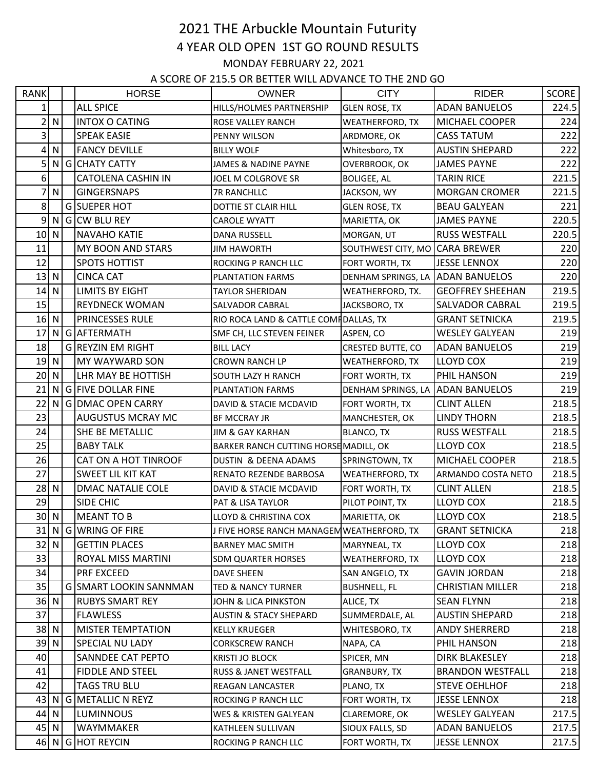## 2021 THE Arbuckle Mountain Futurity 4 YEAR OLD OPEN 1ST GO ROUND RESULTS MONDAY FEBRUARY 22, 2021

A SCORE OF 215.5 OR BETTER WILL ADVANCE TO THE 2ND GO

| <b>RANK</b>    |                 | <b>HORSE</b>                  | <b>OWNER</b>                               | <b>CITY</b>                      | <b>RIDER</b>            | <b>SCORE</b> |
|----------------|-----------------|-------------------------------|--------------------------------------------|----------------------------------|-------------------------|--------------|
| 1              |                 | <b>ALL SPICE</b>              | HILLS/HOLMES PARTNERSHIP                   | <b>GLEN ROSE, TX</b>             | <b>ADAN BANUELOS</b>    | 224.5        |
| $\overline{2}$ | $\mathsf{N}$    | <b>INTOX O CATING</b>         | ROSE VALLEY RANCH                          | WEATHERFORD, TX                  | <b>MICHAEL COOPER</b>   | 224          |
| 3              |                 | <b>SPEAK EASIE</b>            | PENNY WILSON                               | ARDMORE, OK                      | <b>CASS TATUM</b>       | 222          |
| 4              | ${\sf N}$       | <b>FANCY DEVILLE</b>          | <b>BILLY WOLF</b>                          | Whitesboro, TX                   | <b>AUSTIN SHEPARD</b>   | 222          |
| 5              | N               | G CHATY CATTY                 | <b>JAMES &amp; NADINE PAYNE</b>            | OVERBROOK, OK                    | <b>JAMES PAYNE</b>      | 222          |
| 6              |                 | <b>CATOLENA CASHIN IN</b>     | JOEL M COLGROVE SR                         | <b>BOLIGEE, AL</b>               | <b>TARIN RICE</b>       | 221.5        |
| 7              | ${\sf N}$       | <b>GINGERSNAPS</b>            | 7R RANCHLLC                                | JACKSON, WY                      | <b>MORGAN CROMER</b>    | 221.5        |
| 8              |                 | G SUEPER HOT                  | DOTTIE ST CLAIR HILL                       | <b>GLEN ROSE, TX</b>             | <b>BEAU GALYEAN</b>     | 221          |
| 9              | $\mathsf{N}$    | G CW BLU REY                  | <b>CAROLE WYATT</b>                        | MARIETTA, OK                     | <b>JAMES PAYNE</b>      | 220.5        |
| $10$ N         |                 | <b>NAVAHO KATIE</b>           | <b>DANA RUSSELL</b>                        | MORGAN, UT                       | <b>RUSS WESTFALL</b>    | 220.5        |
| 11             |                 | <b>MY BOON AND STARS</b>      | <b>JIM HAWORTH</b>                         | SOUTHWEST CITY, MO               | <b>CARA BREWER</b>      | 220          |
| 12             |                 | <b>SPOTS HOTTIST</b>          | ROCKING P RANCH LLC                        | FORT WORTH, TX                   | <b>JESSE LENNOX</b>     | 220          |
| 13             | $\vert N \vert$ | <b>CINCA CAT</b>              | PLANTATION FARMS                           | DENHAM SPRINGS, LA ADAN BANUELOS |                         | 220          |
| 14             | $\mathsf{N}$    | <b>LIMITS BY EIGHT</b>        | <b>TAYLOR SHERIDAN</b>                     | WEATHERFORD, TX.                 | <b>GEOFFREY SHEEHAN</b> | 219.5        |
| 15             |                 | <b>REYDNECK WOMAN</b>         | SALVADOR CABRAL                            | JACKSBORO, TX                    | <b>SALVADOR CABRAL</b>  | 219.5        |
| $16$ N         |                 | <b>PRINCESSES RULE</b>        | RIO ROCA LAND & CATTLE COMPDALLAS, TX      |                                  | <b>GRANT SETNICKA</b>   | 219.5        |
| 17             |                 | N G AFTERMATH                 | SMF CH, LLC STEVEN FEINER                  | ASPEN, CO                        | <b>WESLEY GALYEAN</b>   | 219          |
| 18             |                 | <b>G REYZIN EM RIGHT</b>      | <b>BILL LACY</b>                           | <b>CRESTED BUTTE, CO</b>         | <b>ADAN BANUELOS</b>    | 219          |
| 19             | $\mathsf{N}$    | <b>MY WAYWARD SON</b>         | <b>CROWN RANCH LP</b>                      | WEATHERFORD, TX                  | LLOYD COX               | 219          |
| 20             | $\mathsf{N}$    | LHR MAY BE HOTTISH            | SOUTH LAZY H RANCH                         | FORT WORTH, TX                   | PHIL HANSON             | 219          |
| 21             | N               | <b>GFIVE DOLLAR FINE</b>      | PLANTATION FARMS                           | DENHAM SPRINGS, LA               | <b>JADAN BANUELOS</b>   | 219          |
| 22             |                 | N G DMAC OPEN CARRY           | DAVID & STACIE MCDAVID                     | FORT WORTH, TX                   | <b>CLINT ALLEN</b>      | 218.5        |
| 23             |                 | <b>AUGUSTUS MCRAY MC</b>      | <b>BF MCCRAY JR</b>                        | MANCHESTER, OK                   | <b>LINDY THORN</b>      | 218.5        |
| 24             |                 | SHE BE METALLIC               | JIM & GAY KARHAN                           | <b>BLANCO, TX</b>                | <b>RUSS WESTFALL</b>    | 218.5        |
| 25             |                 | <b>BABY TALK</b>              | BARKER RANCH CUTTING HORSE MADILL, OK      |                                  | <b>LLOYD COX</b>        | 218.5        |
| 26             |                 | CAT ON A HOT TINROOF          | DUSTIN & DEENA ADAMS                       | SPRINGTOWN, TX                   | <b>MICHAEL COOPER</b>   | 218.5        |
| 27             |                 | SWEET LIL KIT KAT             | RENATO REZENDE BARBOSA                     | <b>WEATHERFORD, TX</b>           | ARMANDO COSTA NETO      | 218.5        |
| $28$ N         |                 | <b>DMAC NATALIE COLE</b>      | DAVID & STACIE MCDAVID                     | FORT WORTH, TX                   | <b>CLINT ALLEN</b>      | 218.5        |
| 29             |                 | SIDE CHIC                     | PAT & LISA TAYLOR                          | PILOT POINT, TX                  | LLOYD COX               | 218.5        |
|                | 30 N            | <b>MEANT TO B</b>             | LLOYD & CHRISTINA COX                      | MARIETTA, OK                     | <b>LLOYD COX</b>        | 218.5        |
|                |                 | 31 N G WRING OF FIRE          | J FIVE HORSE RANCH MANAGEM WEATHERFORD, TX |                                  | <b>GRANT SETNICKA</b>   | 218          |
| $32$ N         |                 | <b>GETTIN PLACES</b>          | <b>BARNEY MAC SMITH</b>                    | MARYNEAL, TX                     | <b>LLOYD COX</b>        | 218          |
| 33             |                 | ROYAL MISS MARTINI            | SDM QUARTER HORSES                         | WEATHERFORD, TX                  | LLOYD COX               | 218          |
| 34             |                 | PRF EXCEED                    | DAVE SHEEN                                 | SAN ANGELO, TX                   | <b>GAVIN JORDAN</b>     | 218          |
| 35             |                 | <b>G SMART LOOKIN SANNMAN</b> | <b>TED &amp; NANCY TURNER</b>              | <b>BUSHNELL, FL</b>              | <b>CHRISTIAN MILLER</b> | 218          |
| 36 N           |                 | <b>RUBYS SMART REY</b>        | JOHN & LICA PINKSTON                       | ALICE, TX                        | <b>SEAN FLYNN</b>       | 218          |
| 37             |                 | <b>FLAWLESS</b>               | <b>AUSTIN &amp; STACY SHEPARD</b>          | SUMMERDALE, AL                   | <b>AUSTIN SHEPARD</b>   | 218          |
| $38$ N         |                 | <b>MISTER TEMPTATION</b>      | KELLY KRUEGER                              | WHITESBORO, TX                   | ANDY SHERRERD           | 218          |
| $39$ N         |                 | <b>SPECIAL NU LADY</b>        | <b>CORKSCREW RANCH</b>                     | NAPA, CA                         | PHIL HANSON             | 218          |
| 40             |                 | SANNDEE CAT PEPTO             | <b>KRISTI JO BLOCK</b>                     | SPICER, MN                       | DIRK BLAKESLEY          | 218          |
| 41             |                 | <b>FIDDLE AND STEEL</b>       | RUSS & JANET WESTFALL                      | <b>GRANBURY, TX</b>              | <b>BRANDON WESTFALL</b> | 218          |
| 42             |                 | <b>TAGS TRU BLU</b>           | REAGAN LANCASTER                           | PLANO, TX                        | <b>STEVE OEHLHOF</b>    | 218          |
|                |                 | 43 N G METALLIC N REYZ        | ROCKING P RANCH LLC                        | FORT WORTH, TX                   | <b>JESSE LENNOX</b>     | 218          |
|                | $44$ N          | <b>LUMINNOUS</b>              | WES & KRISTEN GALYEAN                      | CLAREMORE, OK                    | <b>WESLEY GALYEAN</b>   | 217.5        |
| $45$ N         |                 | WAYMMAKER                     | KATHLEEN SULLIVAN                          | SIOUX FALLS, SD                  | <b>ADAN BANUELOS</b>    | 217.5        |
|                |                 | 46 N G HOT REYCIN             | ROCKING P RANCH LLC                        | FORT WORTH, TX                   | <b>JESSE LENNOX</b>     | 217.5        |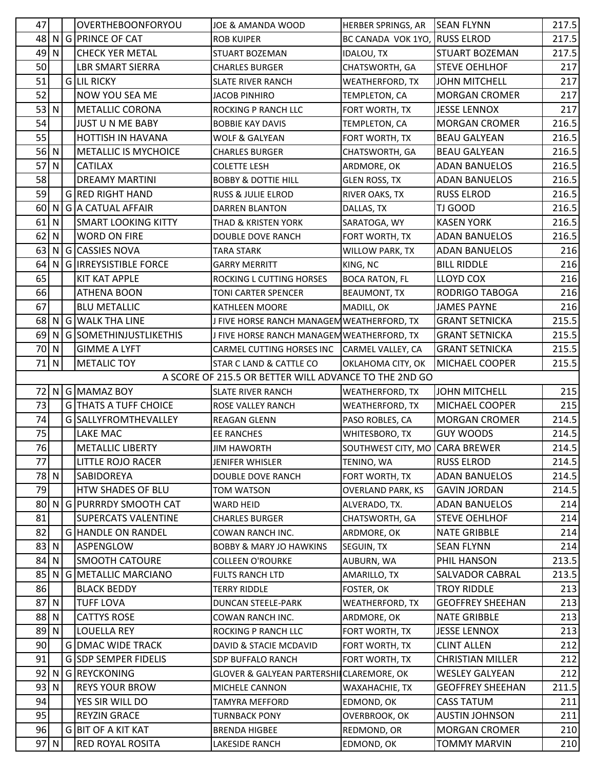| 47 |              | OVERTHEBOONFORYOU            | JOE & AMANDA WOOD                                     | HERBER SPRINGS, AR             | <b>SEAN FLYNN</b>       | 217.5 |
|----|--------------|------------------------------|-------------------------------------------------------|--------------------------------|-------------------------|-------|
| 48 |              | N G PRINCE OF CAT            | <b>ROB KUIPER</b>                                     | BC CANADA VOK 1YO, RUSS ELROD  |                         | 217.5 |
| 49 | ${\sf N}$    | <b>CHECK YER METAL</b>       | STUART BOZEMAN                                        | <b>IDALOU, TX</b>              | <b>STUART BOZEMAN</b>   | 217.5 |
| 50 |              | <b>LBR SMART SIERRA</b>      | <b>CHARLES BURGER</b>                                 | CHATSWORTH, GA                 | <b>STEVE OEHLHOF</b>    | 217   |
| 51 |              | <b>GLIL RICKY</b>            | <b>SLATE RIVER RANCH</b>                              | <b>WEATHERFORD, TX</b>         | <b>JOHN MITCHELL</b>    | 217   |
| 52 |              | NOW YOU SEA ME               | <b>JACOB PINHIRO</b>                                  | TEMPLETON, CA                  | <b>MORGAN CROMER</b>    | 217   |
| 53 | $\mathsf{N}$ | <b>METALLIC CORONA</b>       | ROCKING P RANCH LLC                                   | FORT WORTH, TX                 | <b>JESSE LENNOX</b>     | 217   |
| 54 |              | <b>JUST U N ME BABY</b>      | <b>BOBBIE KAY DAVIS</b>                               | TEMPLETON, CA                  | <b>MORGAN CROMER</b>    | 216.5 |
| 55 |              | HOTTISH IN HAVANA            | <b>WOLF &amp; GALYEAN</b>                             | FORT WORTH, TX                 | <b>BEAU GALYEAN</b>     | 216.5 |
|    | 56 N         | <b>METALLIC IS MYCHOICE</b>  | <b>CHARLES BURGER</b>                                 | CHATSWORTH, GA                 | <b>BEAU GALYEAN</b>     | 216.5 |
| 57 | ${\sf N}$    | <b>CATILAX</b>               | <b>COLETTE LESH</b>                                   | ARDMORE, OK                    | <b>ADAN BANUELOS</b>    | 216.5 |
| 58 |              | <b>DREAMY MARTINI</b>        | <b>BOBBY &amp; DOTTIE HILL</b>                        | <b>GLEN ROSS, TX</b>           | <b>ADAN BANUELOS</b>    | 216.5 |
| 59 |              | <b>G RED RIGHT HAND</b>      | RUSS & JULIE ELROD                                    | RIVER OAKS, TX                 | <b>RUSS ELROD</b>       | 216.5 |
| 60 | N            | <b>G</b> A CATUAL AFFAIR     | <b>DARREN BLANTON</b>                                 | DALLAS, TX                     | TJ GOOD                 | 216.5 |
| 61 | $\mathsf{N}$ | <b>SMART LOOKING KITTY</b>   | <b>THAD &amp; KRISTEN YORK</b>                        | SARATOGA, WY                   | <b>KASEN YORK</b>       | 216.5 |
| 62 | ${\sf N}$    | <b>WORD ON FIRE</b>          | DOUBLE DOVE RANCH                                     | FORT WORTH, TX                 | <b>ADAN BANUELOS</b>    | 216.5 |
| 63 | N            | G CASSIES NOVA               | <b>TARA STARK</b>                                     | <b>WILLOW PARK, TX</b>         | <b>ADAN BANUELOS</b>    | 216   |
| 64 | N            | <b>G IRREYSISTIBLE FORCE</b> | <b>GARRY MERRITT</b>                                  | KING, NC                       | <b>BILL RIDDLE</b>      | 216   |
| 65 |              | <b>KIT KAT APPLE</b>         | ROCKING L CUTTING HORSES                              | <b>BOCA RATON, FL</b>          | <b>LLOYD COX</b>        | 216   |
| 66 |              | <b>ATHENA BOON</b>           | <b>TONI CARTER SPENCER</b>                            | <b>BEAUMONT, TX</b>            | RODRIGO TABOGA          | 216   |
| 67 |              | <b>BLU METALLIC</b>          | KATHLEEN MOORE                                        | MADILL, OK                     | <b>JAMES PAYNE</b>      | 216   |
| 68 | N            | <b>G WALK THA LINE</b>       | J FIVE HORSE RANCH MANAGEM WEATHERFORD, TX            |                                | <b>GRANT SETNICKA</b>   | 215.5 |
| 69 | N            | G SOMETHINJUSTLIKETHIS       | J FIVE HORSE RANCH MANAGEM WEATHERFORD, TX            |                                | <b>GRANT SETNICKA</b>   | 215.5 |
|    | 70 N         | <b>GIMME A LYFT</b>          | CARMEL CUTTING HORSES INC                             | CARMEL VALLEY, CA              | <b>GRANT SETNICKA</b>   | 215.5 |
| 71 | $\mathsf{N}$ | <b>METALIC TOY</b>           | STAR C LAND & CATTLE CO                               | OKLAHOMA CITY, OK              | MICHAEL COOPER          | 215.5 |
|    |              |                              | A SCORE OF 215.5 OR BETTER WILL ADVANCE TO THE 2ND GO |                                |                         |       |
|    |              | 72 N G MAMAZ BOY             | <b>SLATE RIVER RANCH</b>                              | <b>WEATHERFORD, TX</b>         | <b>JOHN MITCHELL</b>    | 215   |
| 73 |              | <b>G THATS A TUFF CHOICE</b> | ROSE VALLEY RANCH                                     | <b>WEATHERFORD, TX</b>         | MICHAEL COOPER          | 215   |
| 74 |              | G SALLYFROMTHEVALLEY         | <b>REAGAN GLENN</b>                                   | PASO ROBLES, CA                | <b>MORGAN CROMER</b>    | 214.5 |
| 75 |              | <b>LAKE MAC</b>              | <b>EE RANCHES</b>                                     | WHITESBORO, TX                 | <b>GUY WOODS</b>        | 214.5 |
| 76 |              | <b>METALLIC LIBERTY</b>      | <b>JIM HAWORTH</b>                                    | SOUTHWEST CITY, MO CARA BREWER |                         | 214.5 |
| 77 |              | <b>LITTLE ROJO RACER</b>     | JENIFER WHISLER                                       | TENINO, WA                     | <b>RUSS ELROD</b>       | 214.5 |
|    | 78 N         | SABIDOREYA                   | DOUBLE DOVE RANCH                                     | FORT WORTH, TX                 | <b>ADAN BANUELOS</b>    | 214.5 |
| 79 |              | HTW SHADES OF BLU            | TOM WATSON                                            | <b>OVERLAND PARK, KS</b>       | <b>GAVIN JORDAN</b>     | 214.5 |
| 80 |              | N G PURRRDY SMOOTH CAT       | WARD HEID                                             | ALVERADO, TX.                  | <b>ADAN BANUELOS</b>    | 214   |
| 81 |              | <b>SUPERCATS VALENTINE</b>   | <b>CHARLES BURGER</b>                                 | CHATSWORTH, GA                 | <b>STEVE OEHLHOF</b>    | 214   |
| 82 |              | <b>G HANDLE ON RANDEL</b>    | COWAN RANCH INC.                                      | ARDMORE, OK                    | <b>NATE GRIBBLE</b>     | 214   |
|    | $83$ N       | ASPENGLOW                    | <b>BOBBY &amp; MARY JO HAWKINS</b>                    | SEGUIN, TX                     | <b>SEAN FLYNN</b>       | 214   |
| 84 | N.           | <b>SMOOTH CATOURE</b>        | <b>COLLEEN O'ROURKE</b>                               | AUBURN, WA                     | PHIL HANSON             | 213.5 |
| 85 |              | N G METALLIC MARCIANO        | <b>FULTS RANCH LTD</b>                                | AMARILLO, TX                   | <b>SALVADOR CABRAL</b>  | 213.5 |
| 86 |              | <b>BLACK BEDDY</b>           | <b>TERRY RIDDLE</b>                                   | FOSTER, OK                     | <b>TROY RIDDLE</b>      | 213   |
| 87 | ${\sf N}$    | <b>TUFF LOVA</b>             | <b>DUNCAN STEELE-PARK</b>                             | <b>WEATHERFORD, TX</b>         | <b>GEOFFREY SHEEHAN</b> | 213   |
|    | 88 N         | <b>CATTYS ROSE</b>           | COWAN RANCH INC.                                      | ARDMORE, OK                    | <b>NATE GRIBBLE</b>     | 213   |
| 89 | N            | <b>LOUELLA REY</b>           | ROCKING P RANCH LLC                                   | FORT WORTH, TX                 | <b>JESSE LENNOX</b>     | 213   |
| 90 |              | <b>G DMAC WIDE TRACK</b>     | DAVID & STACIE MCDAVID                                | FORT WORTH, TX                 | <b>CLINT ALLEN</b>      | 212   |
| 91 |              | <b>G SDP SEMPER FIDELIS</b>  | SDP BUFFALO RANCH                                     | FORT WORTH, TX                 | <b>CHRISTIAN MILLER</b> | 212   |
| 92 | N            | G REYCKONING                 | GLOVER & GALYEAN PARTERSHILCLAREMORE, OK              |                                | <b>WESLEY GALYEAN</b>   | 212   |
|    | $93$ N       | <b>REYS YOUR BROW</b>        | MICHELE CANNON                                        | WAXAHACHIE, TX                 | <b>GEOFFREY SHEEHAN</b> | 211.5 |
| 94 |              | YES SIR WILL DO              | <b>TAMYRA MEFFORD</b>                                 | EDMOND, OK                     | <b>CASS TATUM</b>       | 211   |
| 95 |              | <b>REYZIN GRACE</b>          | <b>TURNBACK PONY</b>                                  | OVERBROOK, OK                  | <b>AUSTIN JOHNSON</b>   | 211   |
| 96 |              | G BIT OF A KIT KAT           | <b>BRENDA HIGBEE</b>                                  | REDMOND, OR                    | <b>MORGAN CROMER</b>    | 210   |
|    | 97 N         | RED ROYAL ROSITA             | LAKESIDE RANCH                                        | EDMOND, OK                     | <b>TOMMY MARVIN</b>     | 210   |
|    |              |                              |                                                       |                                |                         |       |